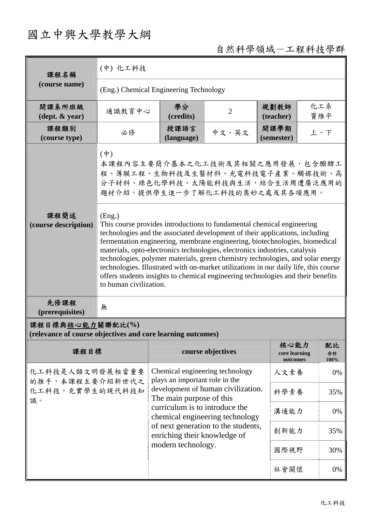## 國立中興大學教學大綱

## 自然科學領域-工程科技學群

| 課程名稱<br>(course name)                      | (中) 化工科技                                                                                                                                                                                                                                                                                                                                                                                                                                                                                                                                                                                                                                                                                                                                                                               |                    |                |                    |            |  |
|--------------------------------------------|----------------------------------------------------------------------------------------------------------------------------------------------------------------------------------------------------------------------------------------------------------------------------------------------------------------------------------------------------------------------------------------------------------------------------------------------------------------------------------------------------------------------------------------------------------------------------------------------------------------------------------------------------------------------------------------------------------------------------------------------------------------------------------------|--------------------|----------------|--------------------|------------|--|
|                                            | (Eng.) Chemical Engineering Technology                                                                                                                                                                                                                                                                                                                                                                                                                                                                                                                                                                                                                                                                                                                                                 |                    |                |                    |            |  |
| 開課系所班級<br>$(\text{dept.} \& \text{ year})$ | 通識教育中心                                                                                                                                                                                                                                                                                                                                                                                                                                                                                                                                                                                                                                                                                                                                                                                 | 學分<br>(credits)    | $\overline{2}$ | 規劃教師<br>(teacher)  | 化工系<br>竇維平 |  |
| 課程類別<br>(course type)                      | 必修                                                                                                                                                                                                                                                                                                                                                                                                                                                                                                                                                                                                                                                                                                                                                                                     | 授課語言<br>(language) | 中文、英文          | 開課學期<br>(semester) | 上、下        |  |
| 課程簡述<br>(course description)               | $(\dot{\Psi})$<br>本課程內容主要簡介基本之化工技術及其相關之應用發展,包含醱酵工<br>程、薄膜工程、生物科技及生醫材料、光電科技電子產業、觸媒技術、高<br>分子材料、綠色化學科技、太陽能科技與生活,結合生活周遭廣泛應用的<br>題材介紹,提供學生進一步了解化工科技的奧妙之處及其各項應用。<br>(Eng.)<br>This course provides introductions to fundamental chemical engineering<br>technologies and the associated development of their applications, including<br>fermentation engineering, membrane engineering, biotechnologies, biomedical<br>materials, opto-electronics technologies, electronics industries, catalysis<br>technologies, polymer materials, green chemistry technologies, and solar energy<br>technologies. Illustrated with on-market utilizations in our daily life, this course<br>offers students insights to chemical engineering technologies and their benefits<br>to human civilization. |                    |                |                    |            |  |
| 先修課程<br>(prerequisites)                    | 無                                                                                                                                                                                                                                                                                                                                                                                                                                                                                                                                                                                                                                                                                                                                                                                      |                    |                |                    |            |  |

## 課程目標與核心能力關聯配比**(%)**

**(relevance of course objectives and core learning outcomes)** 

| 課程目標                                                        | course objectives                                                                                                                                                                                        | 核心能力<br>core learning<br>outcomes | 配比<br>合計<br>100% |
|-------------------------------------------------------------|----------------------------------------------------------------------------------------------------------------------------------------------------------------------------------------------------------|-----------------------------------|------------------|
| 化工科技是人類文明發展相當重要<br>的推手,本課程主要介紹新世代之<br>化工科技,充實學生的現代科技知<br>識。 | Chemical engineering technology<br>plays an important role in the<br>development of human civilization.<br>The main purpose of this<br>curriculum is to introduce the<br>chemical engineering technology | 人文素養                              | 0%               |
|                                                             |                                                                                                                                                                                                          | 科學素養                              | 35%              |
|                                                             |                                                                                                                                                                                                          | 溝通能力                              | 0%               |
|                                                             | of next generation to the students,<br>enriching their knowledge of                                                                                                                                      | 創新能力                              | 35%              |
|                                                             | modern technology.                                                                                                                                                                                       | 國際視野                              | 30%              |
|                                                             |                                                                                                                                                                                                          | 社會關懷                              | 0%               |